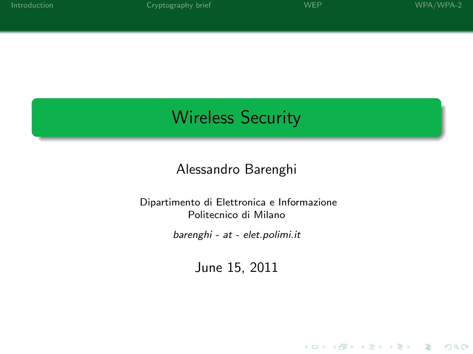# Wireless Security

## Alessandro Barenghi

#### Dipartimento di Elettronica e Informazione Politecnico di Milano

barenghi - at - elet.polimi.it

June 15, 2011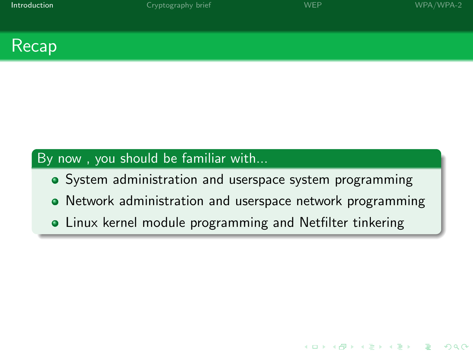**KORK STRATER STRACK** 



## By now , you should be familiar with...

- System administration and userspace system programming
- Network administration and userspace network programming
- <span id="page-1-0"></span>Linux kernel module programming and Netfilter tinkering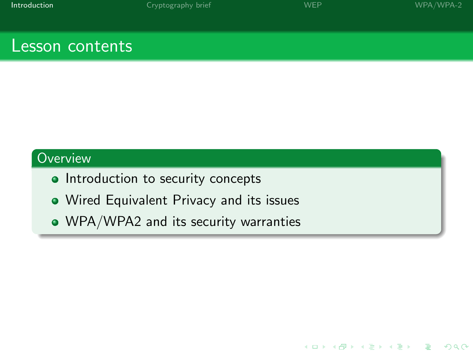K ロ ▶ K @ ▶ K 할 > K 할 > 1 할 > 1 이익어

## Lesson contents

- Introduction to security concepts
- Wired Equivalent Privacy and its issues
- WPA/WPA2 and its security warranties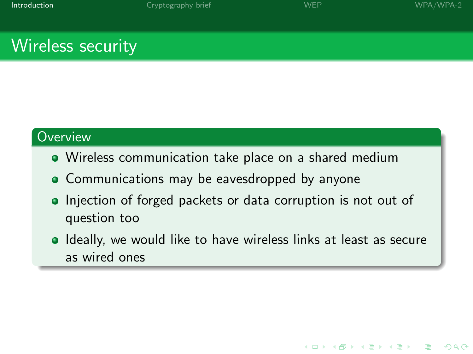**KORK (FRAGE) A BY ORA** 

# Wireless security

- Wireless communication take place on a shared medium
- Communications may be eavesdropped by anyone
- Injection of forged packets or data corruption is not out of question too
- **I** Ideally, we would like to have wireless links at least as secure as wired ones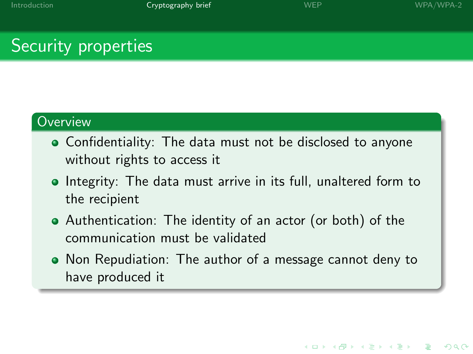# Security properties

- Confidentiality: The data must not be disclosed to anyone without rights to access it
- Integrity: The data must arrive in its full, unaltered form to the recipient
- Authentication: The identity of an actor (or both) of the communication must be validated
- <span id="page-4-0"></span>Non Repudiation: The author of a message cannot deny to have produced it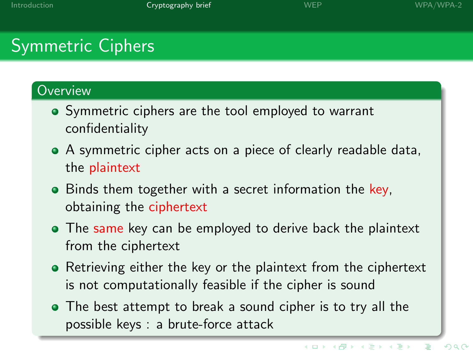# Symmetric Ciphers

- Symmetric ciphers are the tool employed to warrant confidentiality
- A symmetric cipher acts on a piece of clearly readable data, the plaintext
- Binds them together with a secret information the key. obtaining the ciphertext
- The same key can be employed to derive back the plaintext from the ciphertext
- Retrieving either the key or the plaintext from the ciphertext is not computationally feasible if the cipher is sound
- The best attempt to break a sound cipher is to try all the possible keys : a brute-force attack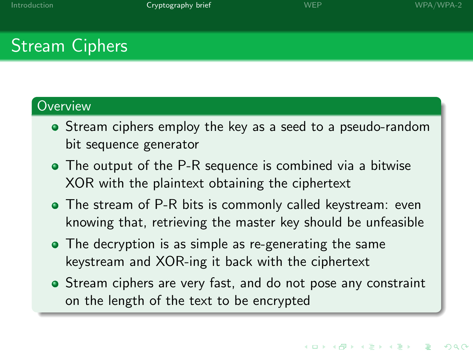# Stream Ciphers

- Stream ciphers employ the key as a seed to a pseudo-random bit sequence generator
- The output of the P-R sequence is combined via a bitwise XOR with the plaintext obtaining the ciphertext
- The stream of P-R bits is commonly called keystream: even knowing that, retrieving the master key should be unfeasible
- The decryption is as simple as re-generating the same keystream and XOR-ing it back with the ciphertext
- Stream ciphers are very fast, and do not pose any constraint on the length of the text to be encrypted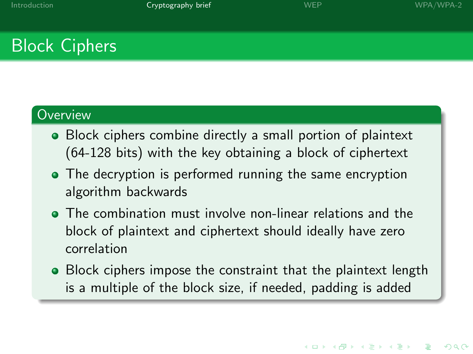# Block Ciphers

- Block ciphers combine directly a small portion of plaintext (64-128 bits) with the key obtaining a block of ciphertext
- The decryption is performed running the same encryption algorithm backwards
- The combination must involve non-linear relations and the block of plaintext and ciphertext should ideally have zero correlation
- Block ciphers impose the constraint that the plaintext length is a multiple of the block size, if needed, padding is added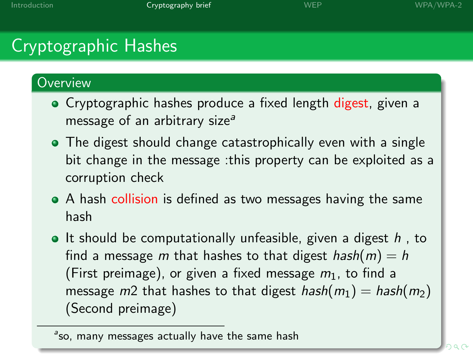# Cryptographic Hashes

- Cryptographic hashes produce a fixed length digest, given a message of an arbitrary size<sup> $a$ </sup>
- The digest should change catastrophically even with a single bit change in the message :this property can be exploited as a corruption check
- A hash collision is defined as two messages having the same hash
- It should be computationally unfeasible, given a digest  $h$ , to find a message m that hashes to that digest hash $(m) = h$ (First preimage), or given a fixed message  $m_1$ , to find a message  $m2$  that hashes to that digest hash $(m_1) =$  hash $(m_2)$ (Second preimage)

<sup>&</sup>lt;sup>a</sup>so, many messages actually have the same hash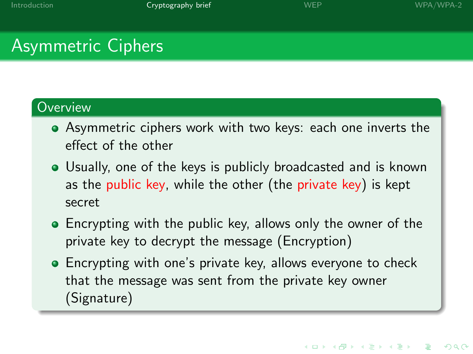**KORK STRAIN A BAR DE ROACH** 

# Asymmetric Ciphers

- Asymmetric ciphers work with two keys: each one inverts the effect of the other
- Usually, one of the keys is publicly broadcasted and is known as the public key, while the other (the private key) is kept secret
- Encrypting with the public key, allows only the owner of the private key to decrypt the message (Encryption)
- Encrypting with one's private key, allows everyone to check that the message was sent from the private key owner (Signature)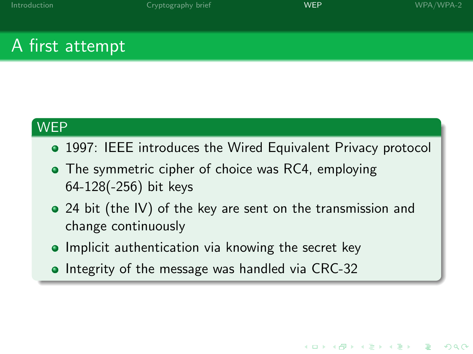K ロ ▶ K @ ▶ K 할 X X 할 X | 할 X 10 Q Q

# A first attempt

### **WEP**

- 1997: IEEE introduces the Wired Equivalent Privacy protocol
- The symmetric cipher of choice was RC4, employing 64-128(-256) bit keys
- 24 bit (the IV) of the key are sent on the transmission and change continuously
- **•** Implicit authentication via knowing the secret key
- <span id="page-10-0"></span>**Integrity of the message was handled via CRC-32**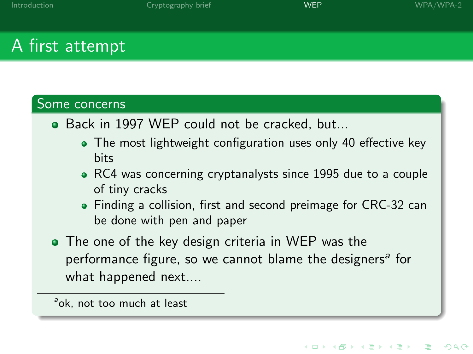イロト イ部 トイ君 トイ君 トッ 君の

 $2990$ 

# A first attempt

#### Some concerns

- Back in 1997 WEP could not be cracked, but...
	- The most lightweight configuration uses only 40 effective key bits
	- RC4 was concerning cryptanalysts since 1995 due to a couple of tiny cracks
	- Finding a collision, first and second preimage for CRC-32 can be done with pen and paper
- The one of the key design criteria in WEP was the performance figure, so we cannot blame the designers<sup>a</sup> for what happened next....

<sup>a</sup>ok, not too much at least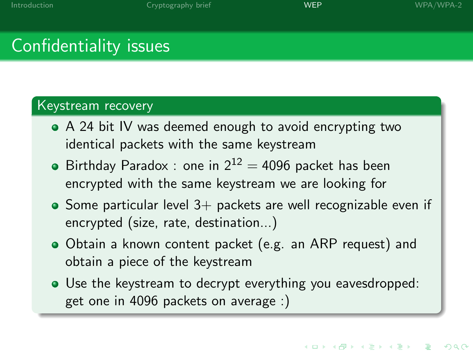**KORK STRAIN A BAR DE ROACH** 

# Confidentiality issues

#### Keystream recovery

- A 24 bit IV was deemed enough to avoid encrypting two identical packets with the same keystream
- $\bullet$  Birthday Paradox : one in  $2^{12} = 4096$  packet has been encrypted with the same keystream we are looking for
- $\bullet$  Some particular level 3+ packets are well recognizable even if encrypted (size, rate, destination...)
- Obtain a known content packet (e.g. an ARP request) and obtain a piece of the keystream
- Use the keystream to decrypt everything you eavesdropped: get one in 4096 packets on average :)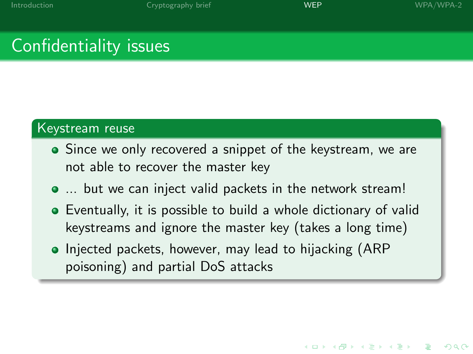# Confidentiality issues

#### Keystream reuse

- Since we only recovered a snippet of the keystream, we are not able to recover the master key
- ... but we can inject valid packets in the network stream!
- Eventually, it is possible to build a whole dictionary of valid keystreams and ignore the master key (takes a long time)
- Injected packets, however, may lead to hijacking (ARP) poisoning) and partial DoS attacks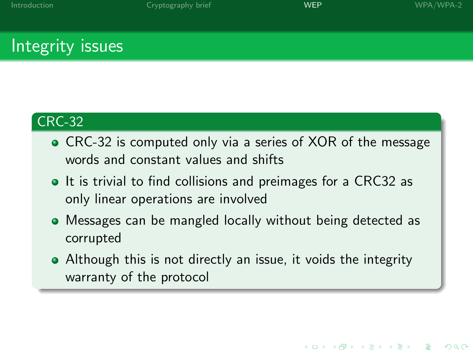**KORK STRAIN A BAR DE ROACH** 

# Integrity issues

### CRC-32

- CRC-32 is computed only via a series of XOR of the message words and constant values and shifts
- It is trivial to find collisions and preimages for a CRC32 as only linear operations are involved
- Messages can be mangled locally without being detected as corrupted
- Although this is not directly an issue, it voids the integrity warranty of the protocol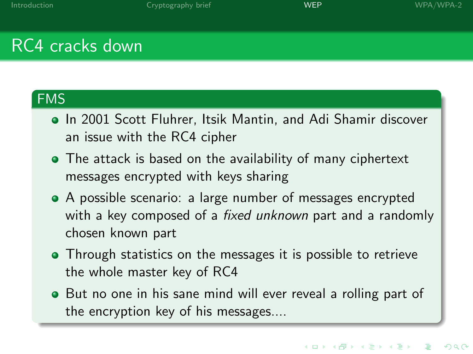# RC4 cracks down

### FMS

- In 2001 Scott Fluhrer, Itsik Mantin, and Adi Shamir discover an issue with the RC4 cipher
- The attack is based on the availability of many ciphertext messages encrypted with keys sharing
- A possible scenario: a large number of messages encrypted with a key composed of a *fixed unknown* part and a randomly chosen known part
- Through statistics on the messages it is possible to retrieve the whole master key of RC4
- But no one in his sane mind will ever reveal a rolling part of the encryption key of his messages....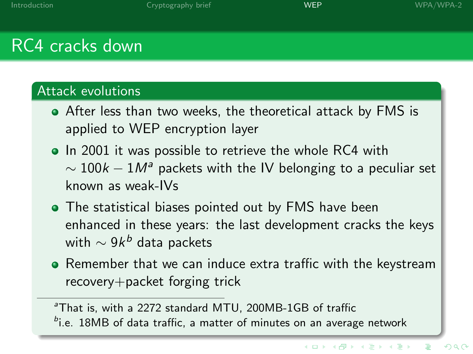# RC4 cracks down

### Attack evolutions

- After less than two weeks, the theoretical attack by FMS is applied to WEP encryption layer
- In 2001 it was possible to retrieve the whole RC4 with  $\sim 100k - 1$ M<sup>a</sup> packets with the IV belonging to a peculiar set known as weak-IVs
- The statistical biases pointed out by FMS have been enhanced in these years: the last development cracks the keys with  $\sim$  9 $k^b$  data packets
- **•** Remember that we can induce extra traffic with the keystream recovery+packet forging trick

<sup>a</sup>That is, with a 2272 standard MTU, 200MB-1GB of traffic  $b$ i.e. 18MB of data traffic, a matter of minutes on an average network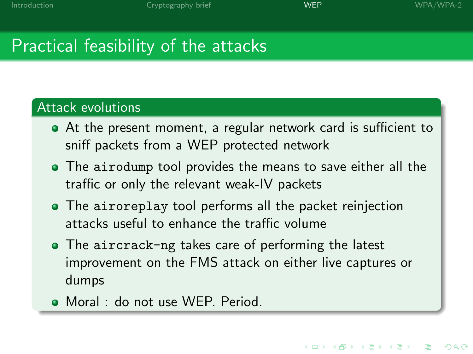# Practical feasibility of the attacks

### Attack evolutions

- At the present moment, a regular network card is sufficient to sniff packets from a WEP protected network
- The airodump tool provides the means to save either all the traffic or only the relevant weak-IV packets
- The airoreplay tool performs all the packet reinjection attacks useful to enhance the traffic volume
- The aircrack-ng takes care of performing the latest improvement on the FMS attack on either live captures or dumps
- Moral : do not use WEP. Period.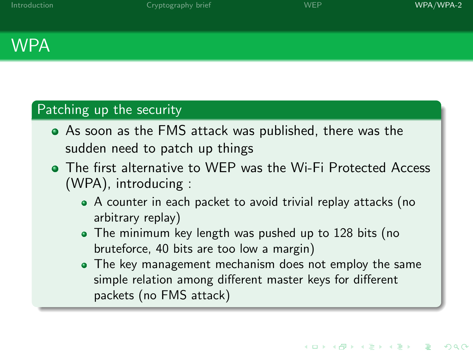# **WPA**

### Patching up the security

- As soon as the FMS attack was published, there was the sudden need to patch up things
- <span id="page-18-0"></span>The first alternative to WEP was the Wi-Fi Protected Access (WPA), introducing :
	- A counter in each packet to avoid trivial replay attacks (no arbitrary replay)
	- The minimum key length was pushed up to 128 bits (no bruteforce, 40 bits are too low a margin)
	- The key management mechanism does not employ the same simple relation among different master keys for different packets (no FMS attack)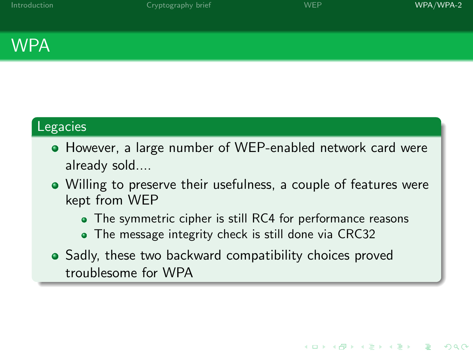K ロ ▶ K @ ▶ K 할 > K 할 > 1 할 > 1 이익어

# **WPA**

### Legacies

- However, a large number of WEP-enabled network card were already sold....
- Willing to preserve their usefulness, a couple of features were kept from WEP
	- The symmetric cipher is still RC4 for performance reasons
	- The message integrity check is still done via CRC32
- Sadly, these two backward compatibility choices proved troublesome for WPA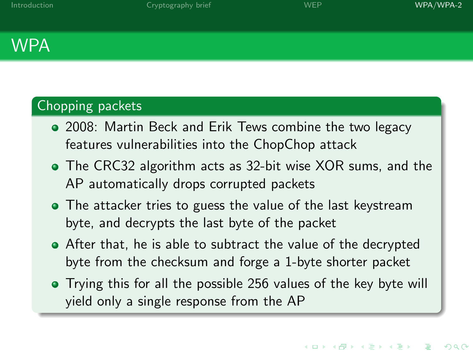## WPA

### Chopping packets

- 2008: Martin Beck and Erik Tews combine the two legacy features vulnerabilities into the ChopChop attack
- The CRC32 algorithm acts as 32-bit wise XOR sums, and the AP automatically drops corrupted packets
- The attacker tries to guess the value of the last keystream byte, and decrypts the last byte of the packet
- After that, he is able to subtract the value of the decrypted byte from the checksum and forge a 1-byte shorter packet
- Trying this for all the possible 256 values of the key byte will yield only a single response from the AP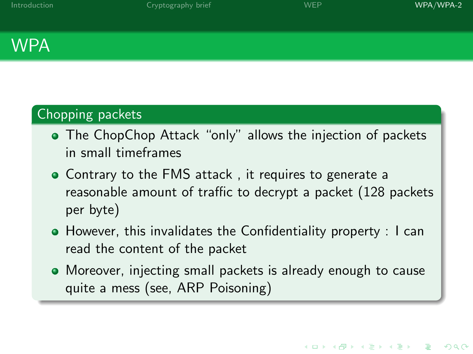# WPA

### Chopping packets

- The ChopChop Attack "only" allows the injection of packets in small timeframes
- Contrary to the FMS attack , it requires to generate a reasonable amount of traffic to decrypt a packet (128 packets per byte)
- However, this invalidates the Confidentiality property : I can read the content of the packet
- Moreover, injecting small packets is already enough to cause quite a mess (see, ARP Poisoning)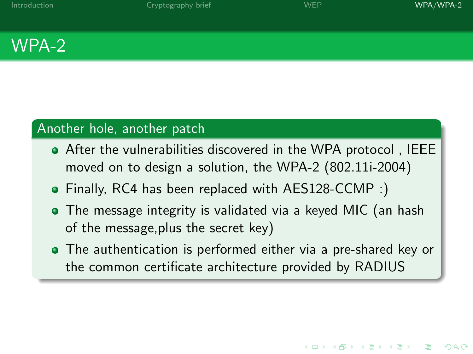

### Another hole, another patch

- After the vulnerabilities discovered in the WPA protocol , IEEE moved on to design a solution, the WPA-2 (802.11i-2004)
- Finally, RC4 has been replaced with AES128-CCMP :)
- The message integrity is validated via a keyed MIC (an hash of the message,plus the secret key)
- The authentication is performed either via a pre-shared key or the common certificate architecture provided by RADIUS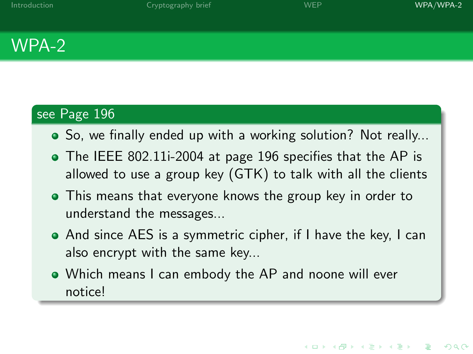# WPA-2

### see Page 196

- So, we finally ended up with a working solution? Not really...
- The IEEE 802.11i-2004 at page 196 specifies that the AP is allowed to use a group key (GTK) to talk with all the clients
- This means that everyone knows the group key in order to understand the messages...
- And since AES is a symmetric cipher, if I have the key, I can also encrypt with the same key...
- Which means I can embody the AP and noone will ever notice!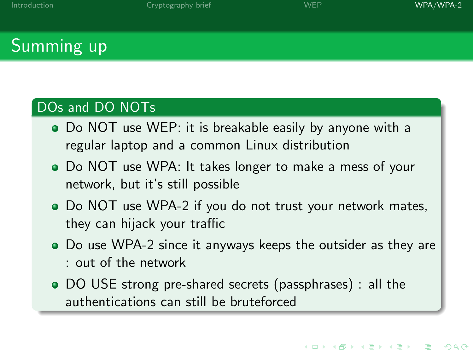**KORK STRAIN A BAR DE ROACH** 

# Summing up

### DOs and DO NOTs

- Do NOT use WEP: it is breakable easily by anyone with a regular laptop and a common Linux distribution
- Do NOT use WPA: It takes longer to make a mess of your network, but it's still possible
- Do NOT use WPA-2 if you do not trust your network mates, they can hijack your traffic
- Do use WPA-2 since it anyways keeps the outsider as they are : out of the network
- DO USE strong pre-shared secrets (passphrases) : all the authentications can still be bruteforced